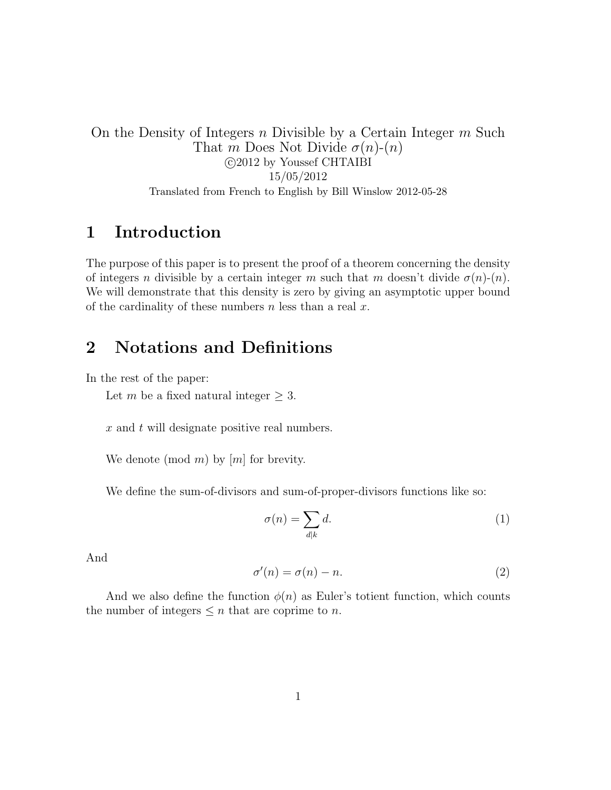On the Density of Integers n Divisible by a Certain Integer m Such That m Does Not Divide  $\sigma(n)$ - $(n)$  c 2012 by Youssef CHTAIBI 15/05/2012 Translated from French to English by Bill Winslow 2012-05-28

#### 1 Introduction

The purpose of this paper is to present the proof of a theorem concerning the density of integers n divisible by a certain integer m such that m doesn't divide  $\sigma(n)-(n)$ . We will demonstrate that this density is zero by giving an asymptotic upper bound of the cardinality of these numbers  $n$  less than a real  $x$ .

### 2 Notations and Definitions

In the rest of the paper:

Let m be a fixed natural integer  $> 3$ .

x and t will designate positive real numbers.

We denote (mod m) by  $[m]$  for brevity.

We define the sum-of-divisors and sum-of-proper-divisors functions like so:

$$
\sigma(n) = \sum_{d|k} d. \tag{1}
$$

And

$$
\sigma'(n) = \sigma(n) - n. \tag{2}
$$

And we also define the function  $\phi(n)$  as Euler's totient function, which counts the number of integers  $\leq n$  that are coprime to n.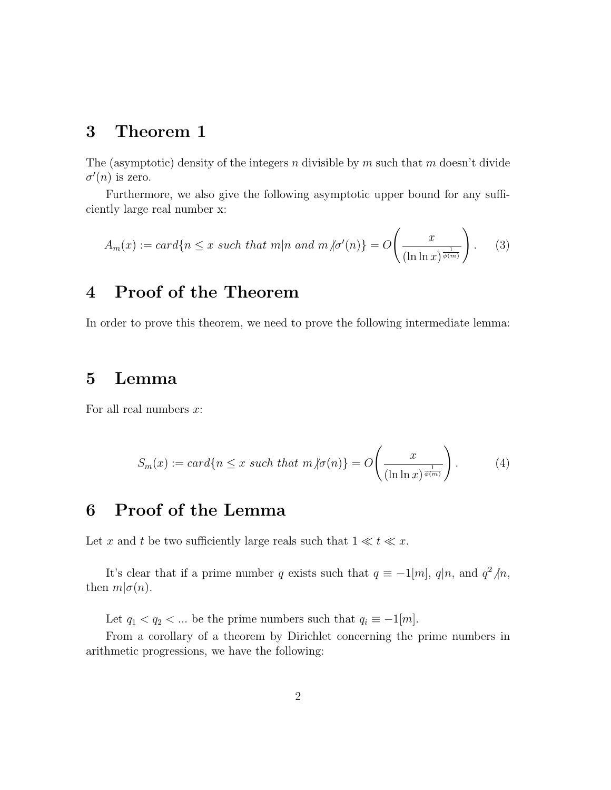#### 3 Theorem 1

The (asymptotic) density of the integers n divisible by m such that m doesn't divide  $\sigma'(n)$  is zero.

Furthermore, we also give the following asymptotic upper bound for any sufficiently large real number x:

$$
A_m(x) := card\{n \le x \text{ such that } m|n \text{ and } m \text{ for } (n)\} = O\left(\frac{x}{(\ln \ln x)^{\frac{1}{\phi(m)}}}\right). \tag{3}
$$

### 4 Proof of the Theorem

In order to prove this theorem, we need to prove the following intermediate lemma:

#### 5 Lemma

For all real numbers  $x$ :

$$
S_m(x) := card\{n \le x \text{ such that } m \text{ is } m\} = O\left(\frac{x}{(\ln \ln x)^{\frac{1}{\phi(m)}}}\right). \tag{4}
$$

## 6 Proof of the Lemma

Let x and t be two sufficiently large reals such that  $1 \ll t \ll x$ .

It's clear that if a prime number q exists such that  $q \equiv -1/m$ ,  $q|n$ , and  $q^2/n$ , then  $m|\sigma(n)$ .

Let  $q_1 < q_2 < \dots$  be the prime numbers such that  $q_i \equiv -1[m]$ .

From a corollary of a theorem by Dirichlet concerning the prime numbers in arithmetic progressions, we have the following: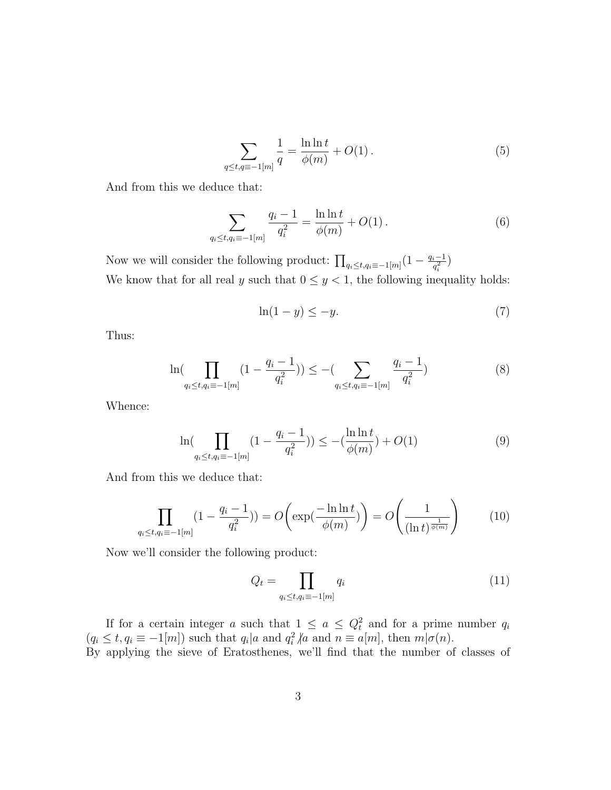$$
\sum_{q \le t, q \equiv -1[m]} \frac{1}{q} = \frac{\ln \ln t}{\phi(m)} + O(1). \tag{5}
$$

And from this we deduce that:

$$
\sum_{q_i \le t, q_i \equiv -1[m]} \frac{q_i - 1}{q_i^2} = \frac{\ln \ln t}{\phi(m)} + O(1).
$$
 (6)

Now we will consider the following product:  $\prod_{q_i \leq t, q_i \equiv -1[m]} \left(1 - \frac{q_i - 1}{q_i^2}\right)$  $\frac{i-1}{q_i^2}$ We know that for all real y such that  $0 \leq y < 1$ , the following inequality holds:

$$
\ln(1-y) \le -y.\tag{7}
$$

Thus:

$$
\ln(\prod_{q_i \le t, q_i \equiv -1[m]} (1 - \frac{q_i - 1}{q_i^2})) \le -(\sum_{q_i \le t, q_i \equiv -1[m]} \frac{q_i - 1}{q_i^2})
$$
\n(8)

Whence:

$$
\ln\left(\prod_{q_i \le t, q_i \equiv -1[m]} \left(1 - \frac{q_i - 1}{q_i^2}\right)\right) \le -\left(\frac{\ln \ln t}{\phi(m)}\right) + O(1) \tag{9}
$$

And from this we deduce that:

$$
\prod_{q_i \le t, q_i \equiv -1[m]} (1 - \frac{q_i - 1}{q_i^2})) = O\left(\exp(\frac{-\ln \ln t}{\phi(m)})\right) = O\left(\frac{1}{(\ln t)^{\frac{1}{\phi(m)}}}\right) \tag{10}
$$

Now we'll consider the following product:

$$
Q_t = \prod_{q_i \le t, q_i \equiv -1[m]} q_i \tag{11}
$$

If for a certain integer a such that  $1 \le a \le Q_t^2$  and for a prime number  $q_i$  $(q_i \le t, q_i \equiv -1[m])$  such that  $q_i | a$  and  $q_i^2 | a$  and  $n \equiv a[m]$ , then  $m | \sigma(n)$ . By applying the sieve of Eratosthenes, we'll find that the number of classes of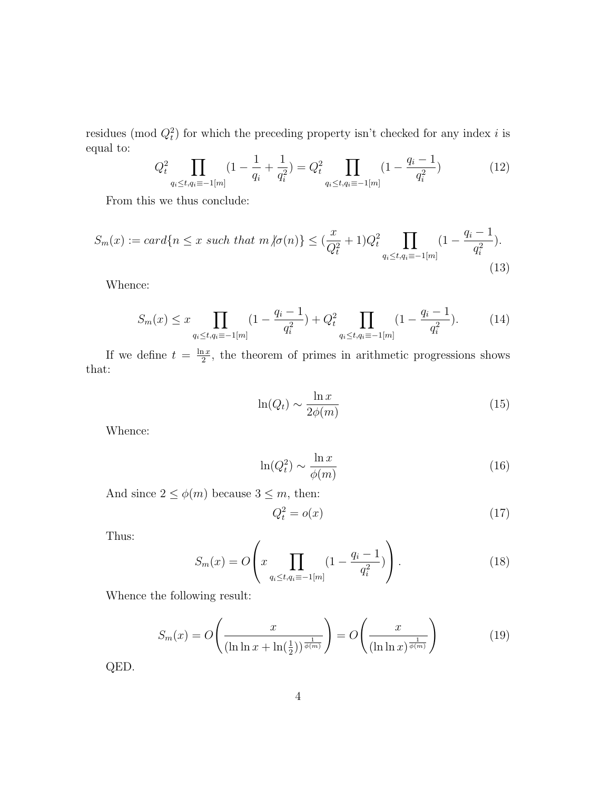residues (mod  $Q_t^2$ ) for which the preceding property isn't checked for any index i is equal to:

$$
Q_t^2 \prod_{q_i \le t, q_i \equiv -1[m]} (1 - \frac{1}{q_i} + \frac{1}{q_i^2}) = Q_t^2 \prod_{q_i \le t, q_i \equiv -1[m]} (1 - \frac{q_i - 1}{q_i^2})
$$
(12)

From this we thus conclude:

$$
S_m(x) := card\{n \le x \ such \ that \ m \ |\sigma(n)\} \le (\frac{x}{Q_t^2} + 1)Q_t^2 \prod_{q_i \le t, q_i \equiv -1[m]} (1 - \frac{q_i - 1}{q_i^2}).
$$
\n(13)

Whence:

$$
S_m(x) \le x \prod_{q_i \le t, q_i \equiv -1[m]} \left(1 - \frac{q_i - 1}{q_i^2}\right) + Q_t^2 \prod_{q_i \le t, q_i \equiv -1[m]} \left(1 - \frac{q_i - 1}{q_i^2}\right). \tag{14}
$$

If we define  $t = \frac{\ln x}{2}$  $\frac{1}{2}$ , the theorem of primes in arithmetic progressions shows that:

$$
\ln(Q_t) \sim \frac{\ln x}{2\phi(m)}\tag{15}
$$

Whence:

$$
\ln(Q_t^2) \sim \frac{\ln x}{\phi(m)}\tag{16}
$$

And since  $2 \le \phi(m)$  because  $3 \le m$ , then:

$$
Q_t^2 = o(x) \tag{17}
$$

Thus:

$$
S_m(x) = O\left(x \prod_{q_i \le t, q_i \equiv -1[m]} \left(1 - \frac{q_i - 1}{q_i^2}\right)\right).
$$
 (18)

Whence the following result:

$$
S_m(x) = O\left(\frac{x}{(\ln \ln x + \ln(\frac{1}{2}))^{\frac{1}{\phi(m)}}}\right) = O\left(\frac{x}{(\ln \ln x)^{\frac{1}{\phi(m)}}}\right)
$$
(19)

QED.